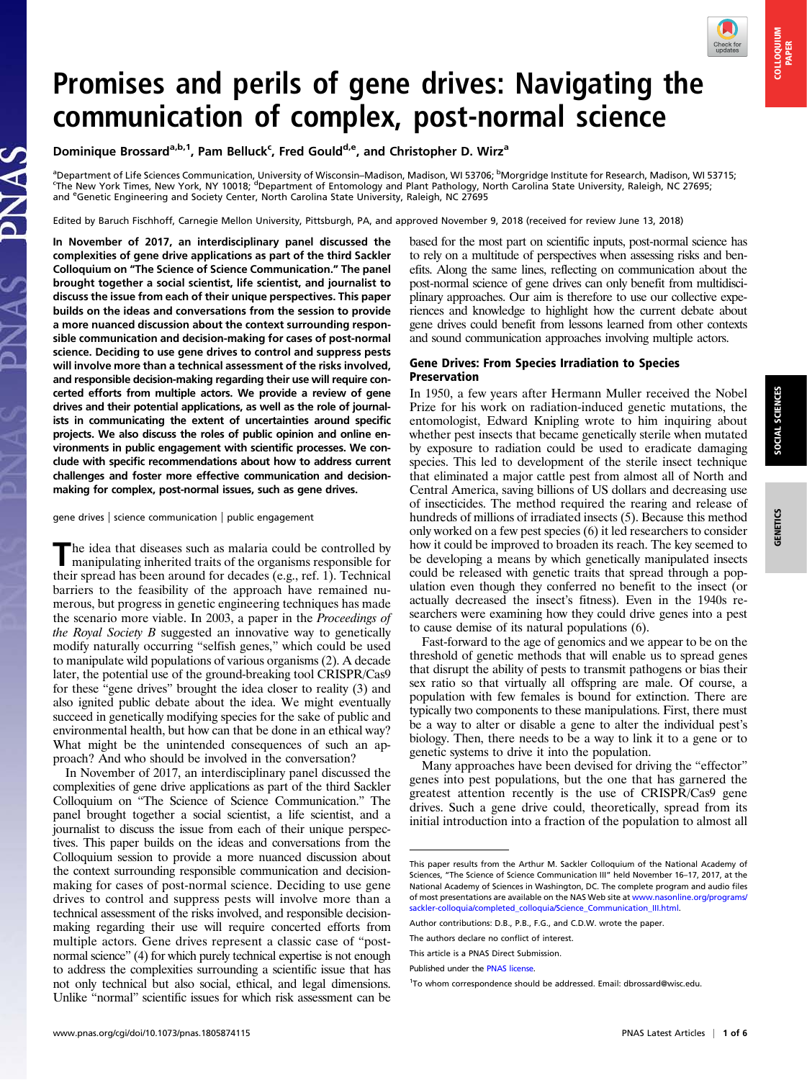# Promises and perils of gene drives: Navigating the communication of complex, post-normal science

Dominique Brossard<sup>a,b,1</sup>, Pam Belluck<sup>c</sup>, Fred Gould<sup>d,e</sup>, and Christopher D. Wirz<sup>a</sup>

<sup>a</sup>Department of Life Sciences Communication, University of Wisconsin–Madison, Madison, WI 53706; <sup>b</sup>Morgridge Institute for Research, Madison, WI 53715;<br><sup>c</sup>The New York Times, New York, NY 10018; <sup>d</sup>Department of Entomolo and <sup>e</sup>Genetic Engineering and Society Center, North Carolina State University, Raleigh, NC 27695

Edited by Baruch Fischhoff, Carnegie Mellon University, Pittsburgh, PA, and approved November 9, 2018 (received for review June 13, 2018)

In November of 2017, an interdisciplinary panel discussed the complexities of gene drive applications as part of the third Sackler Colloquium on "The Science of Science Communication." The panel brought together a social scientist, life scientist, and journalist to discuss the issue from each of their unique perspectives. This paper builds on the ideas and conversations from the session to provide a more nuanced discussion about the context surrounding responsible communication and decision-making for cases of post-normal science. Deciding to use gene drives to control and suppress pests will involve more than a technical assessment of the risks involved, and responsible decision-making regarding their use will require concerted efforts from multiple actors. We provide a review of gene drives and their potential applications, as well as the role of journalists in communicating the extent of uncertainties around specific projects. We also discuss the roles of public opinion and online environments in public engagement with scientific processes. We conclude with specific recommendations about how to address current challenges and foster more effective communication and decisionmaking for complex, post-normal issues, such as gene drives.

gene drives | science communication | public engagement

The idea that diseases such as malaria could be controlled by manipulating inherited traits of the organisms responsible for their spread has been around for decades (e.g., ref. 1). Technical barriers to the feasibility of the approach have remained numerous, but progress in genetic engineering techniques has made the scenario more viable. In 2003, a paper in the Proceedings of the Royal Society B suggested an innovative way to genetically modify naturally occurring "selfish genes," which could be used to manipulate wild populations of various organisms (2). A decade later, the potential use of the ground-breaking tool CRISPR/Cas9 for these "gene drives" brought the idea closer to reality (3) and also ignited public debate about the idea. We might eventually succeed in genetically modifying species for the sake of public and environmental health, but how can that be done in an ethical way? What might be the unintended consequences of such an approach? And who should be involved in the conversation?

In November of 2017, an interdisciplinary panel discussed the complexities of gene drive applications as part of the third Sackler Colloquium on "The Science of Science Communication." The panel brought together a social scientist, a life scientist, and a journalist to discuss the issue from each of their unique perspectives. This paper builds on the ideas and conversations from the Colloquium session to provide a more nuanced discussion about the context surrounding responsible communication and decisionmaking for cases of post-normal science. Deciding to use gene drives to control and suppress pests will involve more than a technical assessment of the risks involved, and responsible decisionmaking regarding their use will require concerted efforts from multiple actors. Gene drives represent a classic case of "postnormal science" (4) for which purely technical expertise is not enough to address the complexities surrounding a scientific issue that has not only technical but also social, ethical, and legal dimensions. Unlike "normal" scientific issues for which risk assessment can be

based for the most part on scientific inputs, post-normal science has to rely on a multitude of perspectives when assessing risks and benefits. Along the same lines, reflecting on communication about the post-normal science of gene drives can only benefit from multidisciplinary approaches. Our aim is therefore to use our collective experiences and knowledge to highlight how the current debate about gene drives could benefit from lessons learned from other contexts and sound communication approaches involving multiple actors.

# Gene Drives: From Species Irradiation to Species Preservation

In 1950, a few years after Hermann Muller received the Nobel Prize for his work on radiation-induced genetic mutations, the entomologist, Edward Knipling wrote to him inquiring about whether pest insects that became genetically sterile when mutated by exposure to radiation could be used to eradicate damaging species. This led to development of the sterile insect technique that eliminated a major cattle pest from almost all of North and Central America, saving billions of US dollars and decreasing use of insecticides. The method required the rearing and release of hundreds of millions of irradiated insects (5). Because this method only worked on a few pest species (6) it led researchers to consider how it could be improved to broaden its reach. The key seemed to be developing a means by which genetically manipulated insects could be released with genetic traits that spread through a population even though they conferred no benefit to the insect (or actually decreased the insect's fitness). Even in the 1940s researchers were examining how they could drive genes into a pest to cause demise of its natural populations (6).

Fast-forward to the age of genomics and we appear to be on the threshold of genetic methods that will enable us to spread genes that disrupt the ability of pests to transmit pathogens or bias their sex ratio so that virtually all offspring are male. Of course, a population with few females is bound for extinction. There are typically two components to these manipulations. First, there must be a way to alter or disable a gene to alter the individual pest's biology. Then, there needs to be a way to link it to a gene or to genetic systems to drive it into the population.

Many approaches have been devised for driving the "effector" genes into pest populations, but the one that has garnered the greatest attention recently is the use of CRISPR/Cas9 gene drives. Such a gene drive could, theoretically, spread from its initial introduction into a fraction of the population to almost all

SOCIAL SCIENCES

SOCIAL SCIENCES

This paper results from the Arthur M. Sackler Colloquium of the National Academy of Sciences, "The Science of Science Communication III" held November 16–17, 2017, at the National Academy of Sciences in Washington, DC. The complete program and audio files of most presentations are available on the NAS Web site at [www.nasonline.org/programs/](http://www.nasonline.org/programs/sackler-colloquia/completed_colloquia/Science_Communication_III.html) [sackler-colloquia/completed\\_colloquia/Science\\_Communication\\_III.html](http://www.nasonline.org/programs/sackler-colloquia/completed_colloquia/Science_Communication_III.html).

Author contributions: D.B., P.B., F.G., and C.D.W. wrote the paper.

The authors declare no conflict of interest.

This article is a PNAS Direct Submission.

Published under the [PNAS license.](https://www.pnas.org/site/aboutpnas/licenses.xhtml)

<sup>&</sup>lt;sup>1</sup>To whom correspondence should be addressed. Email: [dbrossard@wisc.edu](mailto:dbrossard@wisc.edu).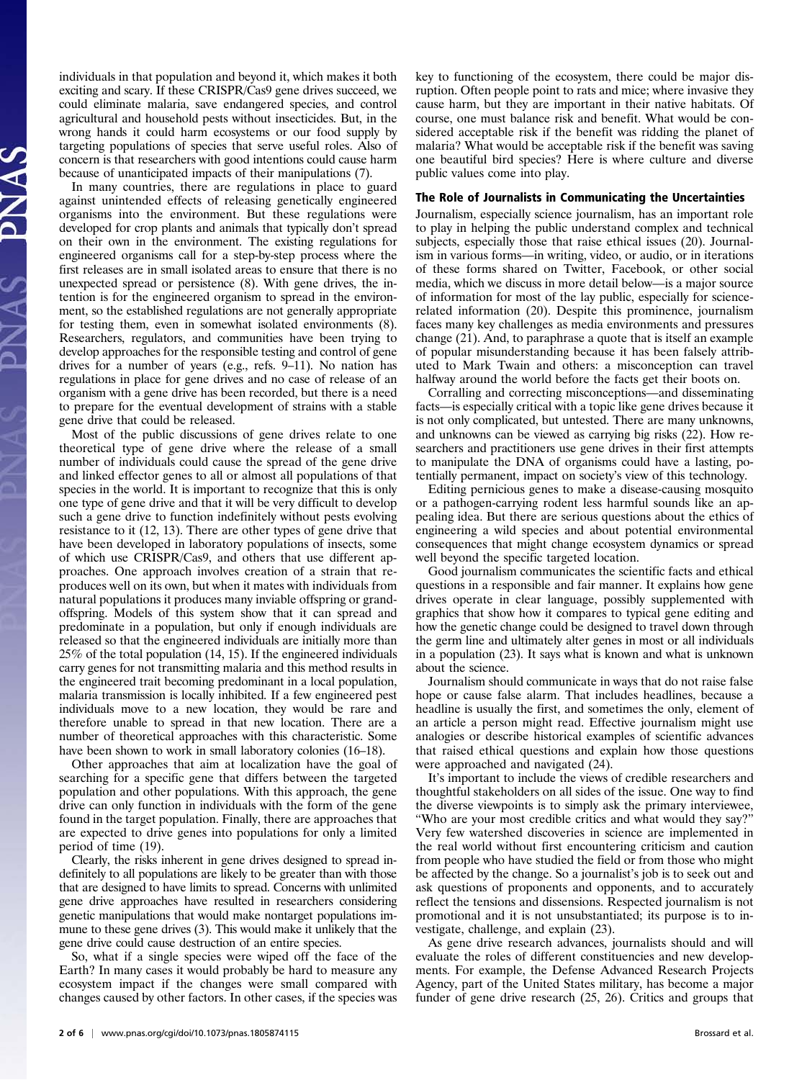individuals in that population and beyond it, which makes it both exciting and scary. If these CRISPR/Cas9 gene drives succeed, we could eliminate malaria, save endangered species, and control agricultural and household pests without insecticides. But, in the wrong hands it could harm ecosystems or our food supply by targeting populations of species that serve useful roles. Also of concern is that researchers with good intentions could cause harm because of unanticipated impacts of their manipulations (7).

In many countries, there are regulations in place to guard against unintended effects of releasing genetically engineered organisms into the environment. But these regulations were developed for crop plants and animals that typically don't spread on their own in the environment. The existing regulations for engineered organisms call for a step-by-step process where the first releases are in small isolated areas to ensure that there is no unexpected spread or persistence (8). With gene drives, the intention is for the engineered organism to spread in the environment, so the established regulations are not generally appropriate for testing them, even in somewhat isolated environments (8). Researchers, regulators, and communities have been trying to develop approaches for the responsible testing and control of gene drives for a number of years (e.g., refs. 9–11). No nation has regulations in place for gene drives and no case of release of an organism with a gene drive has been recorded, but there is a need to prepare for the eventual development of strains with a stable gene drive that could be released.

Most of the public discussions of gene drives relate to one theoretical type of gene drive where the release of a small number of individuals could cause the spread of the gene drive and linked effector genes to all or almost all populations of that species in the world. It is important to recognize that this is only one type of gene drive and that it will be very difficult to develop such a gene drive to function indefinitely without pests evolving resistance to it (12, 13). There are other types of gene drive that have been developed in laboratory populations of insects, some of which use CRISPR/Cas9, and others that use different approaches. One approach involves creation of a strain that reproduces well on its own, but when it mates with individuals from natural populations it produces many inviable offspring or grandoffspring. Models of this system show that it can spread and predominate in a population, but only if enough individuals are released so that the engineered individuals are initially more than 25% of the total population (14, 15). If the engineered individuals carry genes for not transmitting malaria and this method results in the engineered trait becoming predominant in a local population, malaria transmission is locally inhibited. If a few engineered pest individuals move to a new location, they would be rare and therefore unable to spread in that new location. There are a number of theoretical approaches with this characteristic. Some have been shown to work in small laboratory colonies (16–18).

Other approaches that aim at localization have the goal of searching for a specific gene that differs between the targeted population and other populations. With this approach, the gene drive can only function in individuals with the form of the gene found in the target population. Finally, there are approaches that are expected to drive genes into populations for only a limited period of time (19).

Clearly, the risks inherent in gene drives designed to spread indefinitely to all populations are likely to be greater than with those that are designed to have limits to spread. Concerns with unlimited gene drive approaches have resulted in researchers considering genetic manipulations that would make nontarget populations immune to these gene drives (3). This would make it unlikely that the gene drive could cause destruction of an entire species.

So, what if a single species were wiped off the face of the Earth? In many cases it would probably be hard to measure any ecosystem impact if the changes were small compared with changes caused by other factors. In other cases, if the species was key to functioning of the ecosystem, there could be major disruption. Often people point to rats and mice; where invasive they cause harm, but they are important in their native habitats. Of course, one must balance risk and benefit. What would be considered acceptable risk if the benefit was ridding the planet of malaria? What would be acceptable risk if the benefit was saving one beautiful bird species? Here is where culture and diverse public values come into play.

## The Role of Journalists in Communicating the Uncertainties

Journalism, especially science journalism, has an important role to play in helping the public understand complex and technical subjects, especially those that raise ethical issues (20). Journalism in various forms—in writing, video, or audio, or in iterations of these forms shared on Twitter, Facebook, or other social media, which we discuss in more detail below—is a major source of information for most of the lay public, especially for sciencerelated information (20). Despite this prominence, journalism faces many key challenges as media environments and pressures change (21). And, to paraphrase a quote that is itself an example of popular misunderstanding because it has been falsely attributed to Mark Twain and others: a misconception can travel halfway around the world before the facts get their boots on.

Corralling and correcting misconceptions—and disseminating facts—is especially critical with a topic like gene drives because it is not only complicated, but untested. There are many unknowns, and unknowns can be viewed as carrying big risks (22). How researchers and practitioners use gene drives in their first attempts to manipulate the DNA of organisms could have a lasting, potentially permanent, impact on society's view of this technology.

Editing pernicious genes to make a disease-causing mosquito or a pathogen-carrying rodent less harmful sounds like an appealing idea. But there are serious questions about the ethics of engineering a wild species and about potential environmental consequences that might change ecosystem dynamics or spread well beyond the specific targeted location.

Good journalism communicates the scientific facts and ethical questions in a responsible and fair manner. It explains how gene drives operate in clear language, possibly supplemented with graphics that show how it compares to typical gene editing and how the genetic change could be designed to travel down through the germ line and ultimately alter genes in most or all individuals in a population (23). It says what is known and what is unknown about the science.

Journalism should communicate in ways that do not raise false hope or cause false alarm. That includes headlines, because a headline is usually the first, and sometimes the only, element of an article a person might read. Effective journalism might use analogies or describe historical examples of scientific advances that raised ethical questions and explain how those questions were approached and navigated (24).

It's important to include the views of credible researchers and thoughtful stakeholders on all sides of the issue. One way to find the diverse viewpoints is to simply ask the primary interviewee, "Who are your most credible critics and what would they say?" Very few watershed discoveries in science are implemented in the real world without first encountering criticism and caution from people who have studied the field or from those who might be affected by the change. So a journalist's job is to seek out and ask questions of proponents and opponents, and to accurately reflect the tensions and dissensions. Respected journalism is not promotional and it is not unsubstantiated; its purpose is to investigate, challenge, and explain (23).

As gene drive research advances, journalists should and will evaluate the roles of different constituencies and new developments. For example, the Defense Advanced Research Projects Agency, part of the United States military, has become a major funder of gene drive research (25, 26). Critics and groups that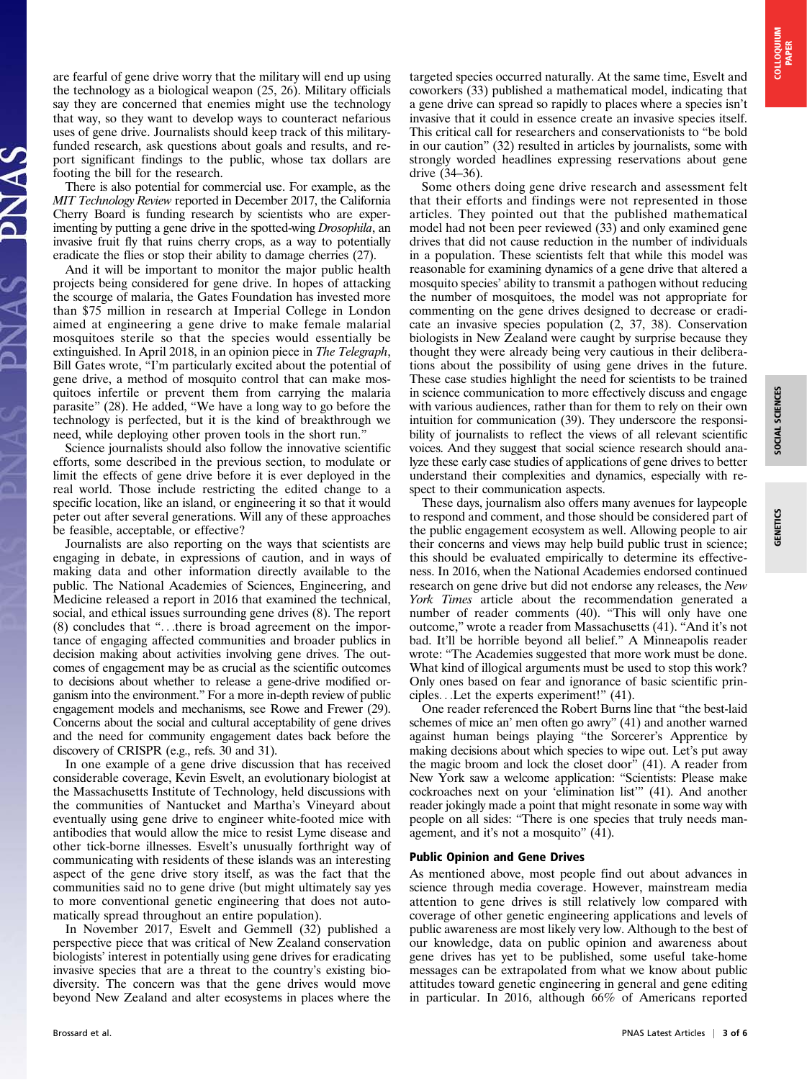are fearful of gene drive worry that the military will end up using the technology as a biological weapon (25, 26). Military officials say they are concerned that enemies might use the technology that way, so they want to develop ways to counteract nefarious uses of gene drive. Journalists should keep track of this militaryfunded research, ask questions about goals and results, and report significant findings to the public, whose tax dollars are footing the bill for the research.

There is also potential for commercial use. For example, as the MIT Technology Review reported in December 2017, the California Cherry Board is funding research by scientists who are experimenting by putting a gene drive in the spotted-wing *Drosophila*, an invasive fruit fly that ruins cherry crops, as a way to potentially eradicate the flies or stop their ability to damage cherries (27).

And it will be important to monitor the major public health projects being considered for gene drive. In hopes of attacking the scourge of malaria, the Gates Foundation has invested more than \$75 million in research at Imperial College in London aimed at engineering a gene drive to make female malarial mosquitoes sterile so that the species would essentially be extinguished. In April 2018, in an opinion piece in The Telegraph, Bill Gates wrote, "I'm particularly excited about the potential of gene drive, a method of mosquito control that can make mosquitoes infertile or prevent them from carrying the malaria parasite" (28). He added, "We have a long way to go before the technology is perfected, but it is the kind of breakthrough we need, while deploying other proven tools in the short run.'

Science journalists should also follow the innovative scientific efforts, some described in the previous section, to modulate or limit the effects of gene drive before it is ever deployed in the real world. Those include restricting the edited change to a specific location, like an island, or engineering it so that it would peter out after several generations. Will any of these approaches be feasible, acceptable, or effective?

Journalists are also reporting on the ways that scientists are engaging in debate, in expressions of caution, and in ways of making data and other information directly available to the public. The National Academies of Sciences, Engineering, and Medicine released a report in 2016 that examined the technical, social, and ethical issues surrounding gene drives (8). The report (8) concludes that "...there is broad agreement on the importance of engaging affected communities and broader publics in decision making about activities involving gene drives. The outcomes of engagement may be as crucial as the scientific outcomes to decisions about whether to release a gene-drive modified organism into the environment." For a more in-depth review of public engagement models and mechanisms, see Rowe and Frewer (29). Concerns about the social and cultural acceptability of gene drives and the need for community engagement dates back before the discovery of CRISPR (e.g., refs. 30 and 31).

In one example of a gene drive discussion that has received considerable coverage, Kevin Esvelt, an evolutionary biologist at the Massachusetts Institute of Technology, held discussions with the communities of Nantucket and Martha's Vineyard about eventually using gene drive to engineer white-footed mice with antibodies that would allow the mice to resist Lyme disease and other tick-borne illnesses. Esvelt's unusually forthright way of communicating with residents of these islands was an interesting aspect of the gene drive story itself, as was the fact that the communities said no to gene drive (but might ultimately say yes to more conventional genetic engineering that does not automatically spread throughout an entire population).

In November 2017, Esvelt and Gemmell (32) published a perspective piece that was critical of New Zealand conservation biologists' interest in potentially using gene drives for eradicating invasive species that are a threat to the country's existing biodiversity. The concern was that the gene drives would move beyond New Zealand and alter ecosystems in places where the

targeted species occurred naturally. At the same time, Esvelt and coworkers (33) published a mathematical model, indicating that a gene drive can spread so rapidly to places where a species isn't invasive that it could in essence create an invasive species itself. This critical call for researchers and conservationists to "be bold in our caution" (32) resulted in articles by journalists, some with strongly worded headlines expressing reservations about gene drive (34–36).

Some others doing gene drive research and assessment felt that their efforts and findings were not represented in those articles. They pointed out that the published mathematical model had not been peer reviewed (33) and only examined gene drives that did not cause reduction in the number of individuals in a population. These scientists felt that while this model was reasonable for examining dynamics of a gene drive that altered a mosquito species' ability to transmit a pathogen without reducing the number of mosquitoes, the model was not appropriate for commenting on the gene drives designed to decrease or eradicate an invasive species population (2, 37, 38). Conservation biologists in New Zealand were caught by surprise because they thought they were already being very cautious in their deliberations about the possibility of using gene drives in the future. These case studies highlight the need for scientists to be trained in science communication to more effectively discuss and engage with various audiences, rather than for them to rely on their own intuition for communication (39). They underscore the responsibility of journalists to reflect the views of all relevant scientific voices. And they suggest that social science research should analyze these early case studies of applications of gene drives to better understand their complexities and dynamics, especially with respect to their communication aspects.

These days, journalism also offers many avenues for laypeople to respond and comment, and those should be considered part of the public engagement ecosystem as well. Allowing people to air their concerns and views may help build public trust in science; this should be evaluated empirically to determine its effectiveness. In 2016, when the National Academies endorsed continued research on gene drive but did not endorse any releases, the New York Times article about the recommendation generated a number of reader comments (40). "This will only have one outcome," wrote a reader from Massachusetts (41). "And it's not bad. It'll be horrible beyond all belief." A Minneapolis reader wrote: "The Academies suggested that more work must be done. What kind of illogical arguments must be used to stop this work? Only ones based on fear and ignorance of basic scientific principles...Let the experts experiment!" (41).

One reader referenced the Robert Burns line that "the best-laid schemes of mice an' men often go awry" (41) and another warned against human beings playing "the Sorcerer's Apprentice by making decisions about which species to wipe out. Let's put away the magic broom and lock the closet door" (41). A reader from New York saw a welcome application: "Scientists: Please make cockroaches next on your 'elimination list'" (41). And another reader jokingly made a point that might resonate in some way with people on all sides: "There is one species that truly needs management, and it's not a mosquito" (41).

# Public Opinion and Gene Drives

As mentioned above, most people find out about advances in science through media coverage. However, mainstream media attention to gene drives is still relatively low compared with coverage of other genetic engineering applications and levels of public awareness are most likely very low. Although to the best of our knowledge, data on public opinion and awareness about gene drives has yet to be published, some useful take-home messages can be extrapolated from what we know about public attitudes toward genetic engineering in general and gene editing in particular. In 2016, although 66% of Americans reported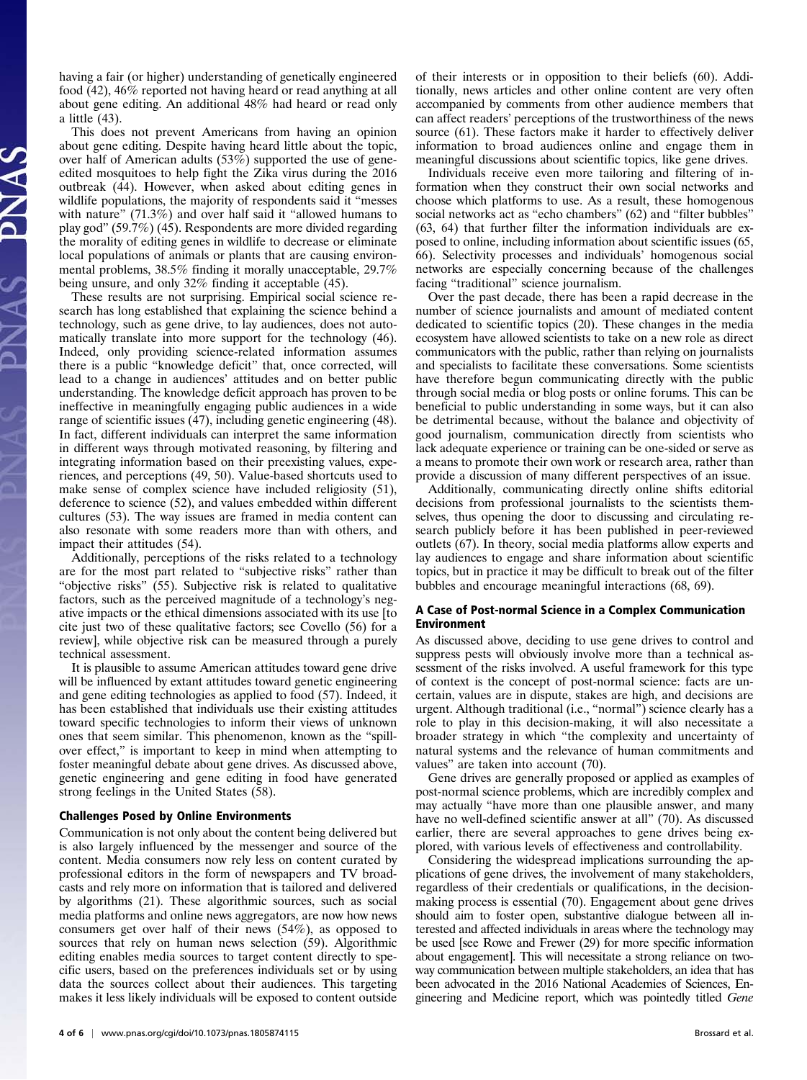having a fair (or higher) understanding of genetically engineered food (42), 46% reported not having heard or read anything at all about gene editing. An additional 48% had heard or read only a little (43).

This does not prevent Americans from having an opinion about gene editing. Despite having heard little about the topic, over half of American adults (53%) supported the use of geneedited mosquitoes to help fight the Zika virus during the 2016 outbreak (44). However, when asked about editing genes in wildlife populations, the majority of respondents said it "messes with nature" (71.3%) and over half said it "allowed humans to play god" (59.7%) (45). Respondents are more divided regarding the morality of editing genes in wildlife to decrease or eliminate local populations of animals or plants that are causing environmental problems, 38.5% finding it morally unacceptable, 29.7% being unsure, and only 32% finding it acceptable (45).

These results are not surprising. Empirical social science research has long established that explaining the science behind a technology, such as gene drive, to lay audiences, does not automatically translate into more support for the technology (46). Indeed, only providing science-related information assumes there is a public "knowledge deficit" that, once corrected, will lead to a change in audiences' attitudes and on better public understanding. The knowledge deficit approach has proven to be ineffective in meaningfully engaging public audiences in a wide range of scientific issues (47), including genetic engineering (48). In fact, different individuals can interpret the same information in different ways through motivated reasoning, by filtering and integrating information based on their preexisting values, experiences, and perceptions (49, 50). Value-based shortcuts used to make sense of complex science have included religiosity (51), deference to science (52), and values embedded within different cultures (53). The way issues are framed in media content can also resonate with some readers more than with others, and impact their attitudes (54).

Additionally, perceptions of the risks related to a technology are for the most part related to "subjective risks" rather than "objective risks" (55). Subjective risk is related to qualitative factors, such as the perceived magnitude of a technology's negative impacts or the ethical dimensions associated with its use [to cite just two of these qualitative factors; see Covello (56) for a review], while objective risk can be measured through a purely technical assessment.

It is plausible to assume American attitudes toward gene drive will be influenced by extant attitudes toward genetic engineering and gene editing technologies as applied to food (57). Indeed, it has been established that individuals use their existing attitudes toward specific technologies to inform their views of unknown ones that seem similar. This phenomenon, known as the "spillover effect," is important to keep in mind when attempting to foster meaningful debate about gene drives. As discussed above, genetic engineering and gene editing in food have generated strong feelings in the United States (58).

## Challenges Posed by Online Environments

Communication is not only about the content being delivered but is also largely influenced by the messenger and source of the content. Media consumers now rely less on content curated by professional editors in the form of newspapers and TV broadcasts and rely more on information that is tailored and delivered by algorithms (21). These algorithmic sources, such as social media platforms and online news aggregators, are now how news consumers get over half of their news (54%), as opposed to sources that rely on human news selection (59). Algorithmic editing enables media sources to target content directly to specific users, based on the preferences individuals set or by using data the sources collect about their audiences. This targeting makes it less likely individuals will be exposed to content outside

of their interests or in opposition to their beliefs (60). Additionally, news articles and other online content are very often accompanied by comments from other audience members that can affect readers' perceptions of the trustworthiness of the news source (61). These factors make it harder to effectively deliver information to broad audiences online and engage them in meaningful discussions about scientific topics, like gene drives.

Individuals receive even more tailoring and filtering of information when they construct their own social networks and choose which platforms to use. As a result, these homogenous social networks act as "echo chambers" (62) and "filter bubbles" (63, 64) that further filter the information individuals are exposed to online, including information about scientific issues (65, 66). Selectivity processes and individuals' homogenous social networks are especially concerning because of the challenges facing "traditional" science journalism.

Over the past decade, there has been a rapid decrease in the number of science journalists and amount of mediated content dedicated to scientific topics (20). These changes in the media ecosystem have allowed scientists to take on a new role as direct communicators with the public, rather than relying on journalists and specialists to facilitate these conversations. Some scientists have therefore begun communicating directly with the public through social media or blog posts or online forums. This can be beneficial to public understanding in some ways, but it can also be detrimental because, without the balance and objectivity of good journalism, communication directly from scientists who lack adequate experience or training can be one-sided or serve as a means to promote their own work or research area, rather than provide a discussion of many different perspectives of an issue.

Additionally, communicating directly online shifts editorial decisions from professional journalists to the scientists themselves, thus opening the door to discussing and circulating research publicly before it has been published in peer-reviewed outlets (67). In theory, social media platforms allow experts and lay audiences to engage and share information about scientific topics, but in practice it may be difficult to break out of the filter bubbles and encourage meaningful interactions (68, 69).

#### A Case of Post-normal Science in a Complex Communication Environment

As discussed above, deciding to use gene drives to control and suppress pests will obviously involve more than a technical assessment of the risks involved. A useful framework for this type of context is the concept of post-normal science: facts are uncertain, values are in dispute, stakes are high, and decisions are urgent. Although traditional (i.e., "normal") science clearly has a role to play in this decision-making, it will also necessitate a broader strategy in which "the complexity and uncertainty of natural systems and the relevance of human commitments and values" are taken into account (70).

Gene drives are generally proposed or applied as examples of post-normal science problems, which are incredibly complex and may actually "have more than one plausible answer, and many have no well-defined scientific answer at all" (70). As discussed earlier, there are several approaches to gene drives being explored, with various levels of effectiveness and controllability.

Considering the widespread implications surrounding the applications of gene drives, the involvement of many stakeholders, regardless of their credentials or qualifications, in the decisionmaking process is essential (70). Engagement about gene drives should aim to foster open, substantive dialogue between all interested and affected individuals in areas where the technology may be used [see Rowe and Frewer (29) for more specific information about engagement]. This will necessitate a strong reliance on twoway communication between multiple stakeholders, an idea that has been advocated in the 2016 National Academies of Sciences, Engineering and Medicine report, which was pointedly titled Gene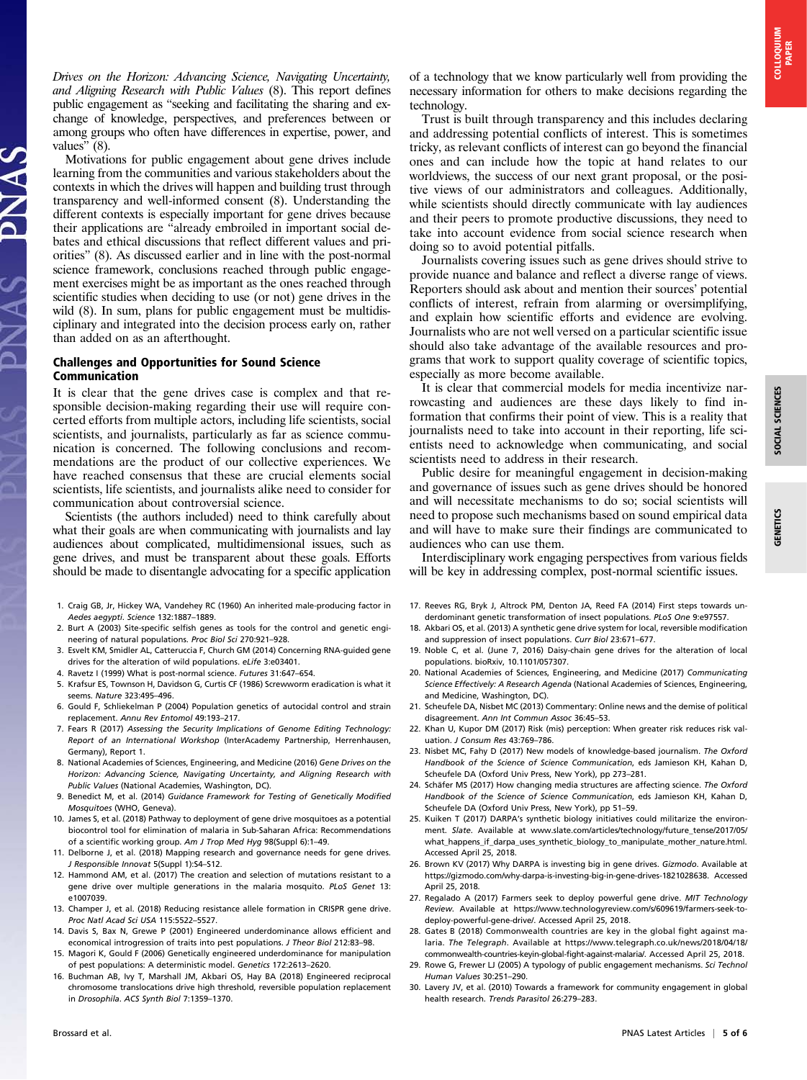Drives on the Horizon: Advancing Science, Navigating Uncertainty, and Aligning Research with Public Values (8). This report defines public engagement as "seeking and facilitating the sharing and exchange of knowledge, perspectives, and preferences between or among groups who often have differences in expertise, power, and values" (8).

Motivations for public engagement about gene drives include learning from the communities and various stakeholders about the contexts in which the drives will happen and building trust through transparency and well-informed consent (8). Understanding the different contexts is especially important for gene drives because their applications are "already embroiled in important social debates and ethical discussions that reflect different values and priorities" (8). As discussed earlier and in line with the post-normal science framework, conclusions reached through public engagement exercises might be as important as the ones reached through scientific studies when deciding to use (or not) gene drives in the wild  $(8)$ . In sum, plans for public engagement must be multidisciplinary and integrated into the decision process early on, rather than added on as an afterthought.

## Challenges and Opportunities for Sound Science Communication

It is clear that the gene drives case is complex and that responsible decision-making regarding their use will require concerted efforts from multiple actors, including life scientists, social scientists, and journalists, particularly as far as science communication is concerned. The following conclusions and recommendations are the product of our collective experiences. We have reached consensus that these are crucial elements social scientists, life scientists, and journalists alike need to consider for communication about controversial science.

Scientists (the authors included) need to think carefully about what their goals are when communicating with journalists and lay audiences about complicated, multidimensional issues, such as gene drives, and must be transparent about these goals. Efforts should be made to disentangle advocating for a specific application

- 1. Craig GB, Jr, Hickey WA, Vandehey RC (1960) An inherited male-producing factor in Aedes aegypti. Science 132:1887–1889.
- 2. Burt A (2003) Site-specific selfish genes as tools for the control and genetic engineering of natural populations. Proc Biol Sci 270:921–928.
- 3. Esvelt KM, Smidler AL, Catteruccia F, Church GM (2014) Concerning RNA-guided gene drives for the alteration of wild populations. eLife 3:e03401.
- 4. Ravetz I (1999) What is post-normal science. Futures 31:647–654.
- 5. Krafsur ES, Townson H, Davidson G, Curtis CF (1986) Screwworm eradication is what it seems. Nature 323:495–496.
- 6. Gould F, Schliekelman P (2004) Population genetics of autocidal control and strain replacement. Annu Rev Entomol 49:193–217.
- 7. Fears R (2017) Assessing the Security Implications of Genome Editing Technology: Report of an International Workshop (InterAcademy Partnership, Herrenhausen, Germany), Report 1.
- 8. National Academies of Sciences, Engineering, and Medicine (2016) Gene Drives on the Horizon: Advancing Science, Navigating Uncertainty, and Aligning Research with Public Values (National Academies, Washington, DC).
- 9. Benedict M, et al. (2014) Guidance Framework for Testing of Genetically Modified Mosquitoes (WHO, Geneva).
- 10. James S, et al. (2018) Pathway to deployment of gene drive mosquitoes as a potential biocontrol tool for elimination of malaria in Sub-Saharan Africa: Recommendations of a scientific working group. Am J Trop Med Hyg 98(Suppl 6):1–49.
- 11. Delborne J, et al. (2018) Mapping research and governance needs for gene drives. J Responsible Innovat 5(Suppl 1):S4–S12.
- 12. Hammond AM, et al. (2017) The creation and selection of mutations resistant to a gene drive over multiple generations in the malaria mosquito. PLoS Genet 13: e1007039.
- 13. Champer J, et al. (2018) Reducing resistance allele formation in CRISPR gene drive. Proc Natl Acad Sci USA 115:5522–5527.
- 14. Davis S, Bax N, Grewe P (2001) Engineered underdominance allows efficient and economical introgression of traits into pest populations. J Theor Biol 212:83–98.
- 15. Magori K, Gould F (2006) Genetically engineered underdominance for manipulation of pest populations: A deterministic model. Genetics 172:2613–2620.
- 16. Buchman AB, Ivy T, Marshall JM, Akbari OS, Hay BA (2018) Engineered reciprocal chromosome translocations drive high threshold, reversible population replacement in Drosophila. ACS Synth Biol 7:1359–1370.

of a technology that we know particularly well from providing the necessary information for others to make decisions regarding the technology.

Trust is built through transparency and this includes declaring and addressing potential conflicts of interest. This is sometimes tricky, as relevant conflicts of interest can go beyond the financial ones and can include how the topic at hand relates to our worldviews, the success of our next grant proposal, or the positive views of our administrators and colleagues. Additionally, while scientists should directly communicate with lay audiences and their peers to promote productive discussions, they need to take into account evidence from social science research when doing so to avoid potential pitfalls.

Journalists covering issues such as gene drives should strive to provide nuance and balance and reflect a diverse range of views. Reporters should ask about and mention their sources' potential conflicts of interest, refrain from alarming or oversimplifying, and explain how scientific efforts and evidence are evolving. Journalists who are not well versed on a particular scientific issue should also take advantage of the available resources and programs that work to support quality coverage of scientific topics, especially as more become available.

It is clear that commercial models for media incentivize narrowcasting and audiences are these days likely to find information that confirms their point of view. This is a reality that journalists need to take into account in their reporting, life scientists need to acknowledge when communicating, and social scientists need to address in their research.

Public desire for meaningful engagement in decision-making and governance of issues such as gene drives should be honored and will necessitate mechanisms to do so; social scientists will need to propose such mechanisms based on sound empirical data and will have to make sure their findings are communicated to audiences who can use them.

Interdisciplinary work engaging perspectives from various fields will be key in addressing complex, post-normal scientific issues.

- 17. Reeves RG, Bryk J, Altrock PM, Denton JA, Reed FA (2014) First steps towards underdominant genetic transformation of insect populations. PLoS One 9:e97557.
- 18. Akbari OS, et al. (2013) A synthetic gene drive system for local, reversible modification and suppression of insect populations. Curr Biol 23:671–677.
- 19. Noble C, et al. (June 7, 2016) Daisy-chain gene drives for the alteration of local populations. bioRxiv, 10.1101/057307.
- 20. National Academies of Sciences, Engineering, and Medicine (2017) Communicating Science Effectively: A Research Agenda (National Academies of Sciences, Engineering, and Medicine, Washington, DC).
- 21. Scheufele DA, Nisbet MC (2013) Commentary: Online news and the demise of political disagreement. Ann Int Commun Assoc 36:45–53.
- 22. Khan U, Kupor DM (2017) Risk (mis) perception: When greater risk reduces risk valuation. J Consum Res 43:769–786.
- 23. Nisbet MC, Fahy D (2017) New models of knowledge-based journalism. The Oxford Handbook of the Science of Science Communication, eds Jamieson KH, Kahan D, Scheufele DA (Oxford Univ Press, New York), pp 273–281.
- 24. Schäfer MS (2017) How changing media structures are affecting science. The Oxford Handbook of the Science of Science Communication, eds Jamieson KH, Kahan D, Scheufele DA (Oxford Univ Press, New York), pp 51–59.
- 25. Kuiken T (2017) DARPA's synthetic biology initiatives could militarize the environment. Slate. Available at [www.slate.com/articles/technology/future\\_tense/2017/05/](http://www.slate.com/articles/technology/future_tense/2017/05/what_happens_if_darpa_uses_synthetic_biology_to_manipulate_mother_nature.html) [what\\_happens\\_if\\_darpa\\_uses\\_synthetic\\_biology\\_to\\_manipulate\\_mother\\_nature.html](http://www.slate.com/articles/technology/future_tense/2017/05/what_happens_if_darpa_uses_synthetic_biology_to_manipulate_mother_nature.html). Accessed April 25, 2018.
- 26. Brown KV (2017) Why DARPA is investing big in gene drives. Gizmodo. Available at [https://gizmodo.com/why-darpa-is-investing-big-in-gene-drives-1821028638.](https://gizmodo.com/why-darpa-is-investing-big-in-gene-drives-1821028638) Accessed April 25, 2018.
- 27. Regalado A (2017) Farmers seek to deploy powerful gene drive. MIT Technology Review. Available at [https://www.technologyreview.com/s/609619/farmers-seek-to](https://www.technologyreview.com/s/609619/farmers-seek-to-deploy-powerful-gene-drive/)[deploy-powerful-gene-drive/](https://www.technologyreview.com/s/609619/farmers-seek-to-deploy-powerful-gene-drive/). Accessed April 25, 2018.
- 28. Gates B (2018) Commonwealth countries are key in the global fight against malaria. The Telegraph. Available at [https://www.telegraph.co.uk/news/2018/04/18/](https://www.telegraph.co.uk/news/2018/04/18/commonwealth-countries-keyin-global-fight-against-malaria/) [commonwealth-countries-keyin-global-fight-against-malaria/](https://www.telegraph.co.uk/news/2018/04/18/commonwealth-countries-keyin-global-fight-against-malaria/). Accessed April 25, 2018.
- 29. Rowe G, Frewer LJ (2005) A typology of public engagement mechanisms. Sci Technol Human Values 30:251–290.
- 30. Lavery JV, et al. (2010) Towards a framework for community engagement in global health research. Trends Parasitol 26:279–283.